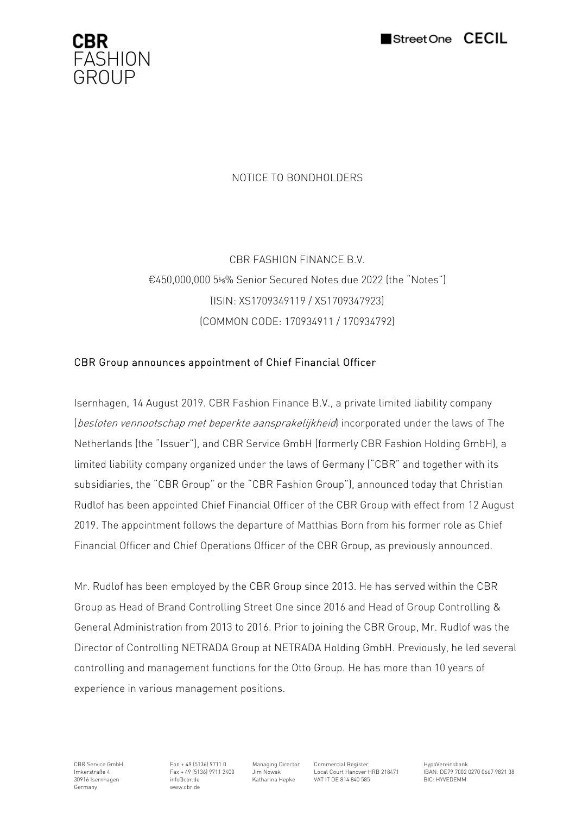



# NOTICE TO BONDHOLDERS

CBR FASHION FINANCE B.V. €450,000,000 5⅛% Senior Secured Notes due 2022 (the "Notes") (ISIN: XS1709349119 / XS1709347923) (COMMON CODE: 170934911 / 170934792)

## CBR Group announces appointment of Chief Financial Officer

Isernhagen, 14 August 2019. CBR Fashion Finance B.V., a private limited liability company (besloten vennootschap met beperkte aansprakelijkheid) incorporated under the laws of The Netherlands (the "Issuer"), and CBR Service GmbH (formerly CBR Fashion Holding GmbH), a limited liability company organized under the laws of Germany ("CBR" and together with its subsidiaries, the "CBR Group" or the "CBR Fashion Group"), announced today that Christian Rudlof has been appointed Chief Financial Officer of the CBR Group with effect from 12 August 2019. The appointment follows the departure of Matthias Born from his former role as Chief Financial Officer and Chief Operations Officer of the CBR Group, as previously announced.

Mr. Rudlof has been employed by the CBR Group since 2013. He has served within the CBR Group as Head of Brand Controlling Street One since 2016 and Head of Group Controlling & General Administration from 2013 to 2016. Prior to joining the CBR Group, Mr. Rudlof was the Director of Controlling NETRADA Group at NETRADA Holding GmbH. Previously, he led several controlling and management functions for the Otto Group. He has more than 10 years of experience in various management positions.

30916 Isernhagen info@cbr.de Theory 7717 2488 Bickey Matharina Hepke VAT IT DE 814 840 585<br>
Germany www.cbr.de Bickey Matharina Hepke VAT IT DE 814 840 585 www.cbr.de

CBR Service GmbH Fon + 49 (5136) 9711 0 Managing Director Commercial Register HypoVereinsbank<br>Im Nowak Local Court Hanover HRB 218471 HRAN- DE79 7002

Imkerstraße 4 Fax + 49 (5136) 9711 2400 Jim Nowak Local Court Hanover HRB 218471 IBAN: DE79 7002 0270 0667 9821 38<br>30916 Isernhagen and info@cbr.de Katharina Hepke VAT IT DE 814 840 585 BIC: HYVEDEMM